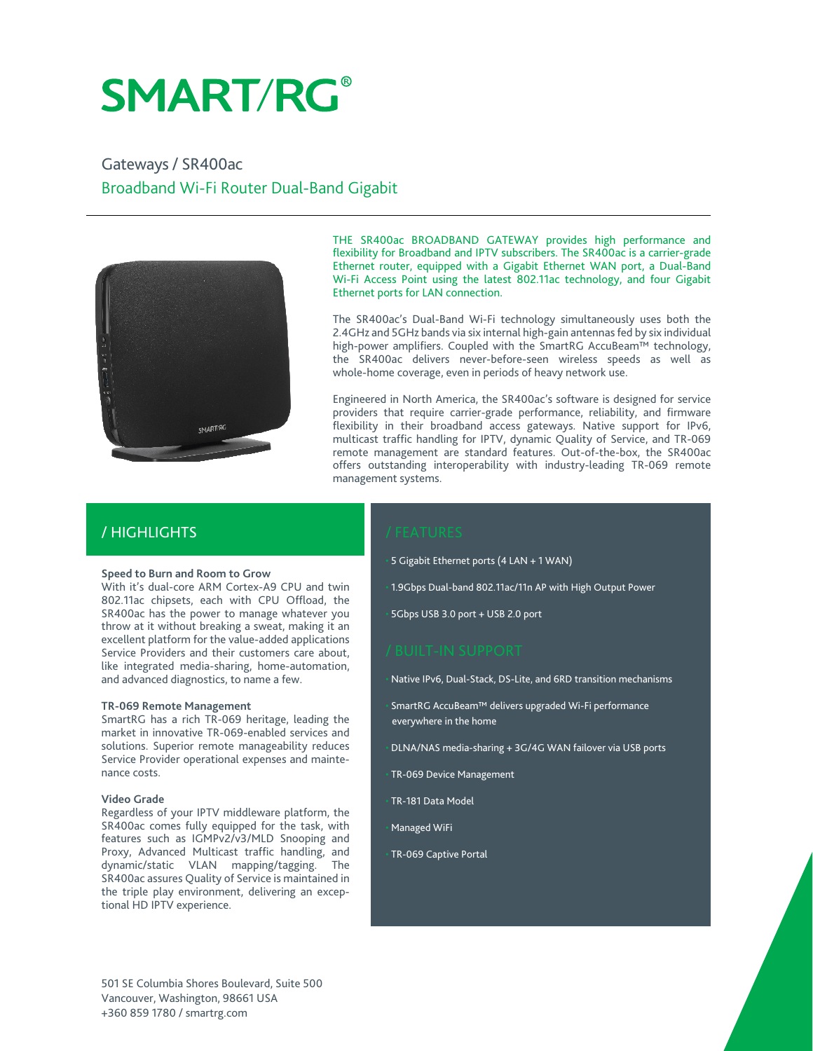# **SMART/RG®**

Gateways / SR400ac Broadband Wi-Fi Router Dual-Band Gigabit



THE SR400ac BROADBAND GATEWAY provides high performance and flexibility for Broadband and IPTV subscribers. The SR400ac is a carrier-grade Ethernet router, equipped with a Gigabit Ethernet WAN port, a Dual-Band Wi-Fi Access Point using the latest 802.11ac technology, and four Gigabit Ethernet ports for LAN connection.

The SR400ac's Dual-Band Wi-Fi technology simultaneously uses both the 2.4GHz and 5GHz bands via six internal high-gain antennas fed by six individual high-power amplifiers. Coupled with the SmartRG AccuBeam™ technology, the SR400ac delivers never-before-seen wireless speeds as well as whole-home coverage, even in periods of heavy network use.

Engineered in North America, the SR400ac's software is designed for service providers that require carrier-grade performance, reliability, and firmware flexibility in their broadband access gateways. Native support for IPv6, multicast traffic handling for IPTV, dynamic Quality of Service, and TR-069 remote management are standard features. Out-of-the-box, the SR400ac offers outstanding interoperability with industry-leading TR-069 remote management systems.

# / HIGHLIGHTS

#### **Speed to Burn and Room to Grow**

With it's dual-core ARM Cortex-A9 CPU and twin 802.11ac chipsets, each with CPU Offload, the SR400ac has the power to manage whatever you throw at it without breaking a sweat, making it an excellent platform for the value-added applications Service Providers and their customers care about, like integrated media-sharing, home-automation, and advanced diagnostics, to name a few.

#### **TR-069 Remote Management**

SmartRG has a rich TR-069 heritage, leading the market in innovative TR-069-enabled services and solutions. Superior remote manageability reduces Service Provider operational expenses and maintenance costs.

#### **Video Grade**

Regardless of your IPTV middleware platform, the SR400ac comes fully equipped for the task, with features such as IGMPv2/v3/MLD Snooping and Proxy, Advanced Multicast traffic handling, and dynamic/static VLAN mapping/tagging. The SR400ac assures Quality of Service is maintained in the triple play environment, delivering an exceptional HD IPTV experience.

• 5 Gigabit Ethernet ports (4 LAN + 1 WAN)

• 1.9Gbps Dual-band 802.11ac/11n AP with High Output Power

• 5Gbps USB 3.0 port + USB 2.0 port

• Native IPv6, Dual-Stack, DS-Lite, and 6RD transition mechanisms

• SmartRG AccuBeam™ delivers upgraded Wi-Fi performance everywhere in the home

• DLNA/NAS media-sharing + 3G/4G WAN failover via USB ports

• TR-069 Device Management

• TR-181 Data Model

• Managed WiFi

• TR-069 Captive Portal

501 SE Columbia Shores Boulevard, Suite 500 Vancouver, Washington, 98661 USA +360 859 1780 / smartrg.com